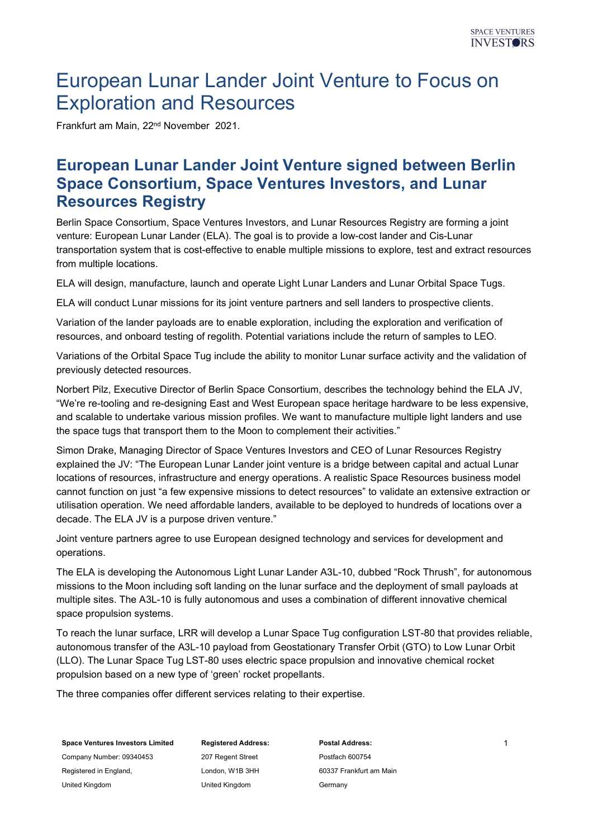# European Lunar Lander Joint Venture to Focus on Exploration and Resources

Frankfurt am Main, 22nd November 2021.

### European Lunar Lander Joint Venture signed between Berlin Space Consortium, Space Ventures Investors, and Lunar Resources Registry

Berlin Space Consortium, Space Ventures Investors, and Lunar Resources Registry are forming a joint venture: European Lunar Lander (ELA). The goal is to provide a low-cost lander and Cis-Lunar transportation system that is cost-effective to enable multiple missions to explore, test and extract resources from multiple locations.

ELA will design, manufacture, launch and operate Light Lunar Landers and Lunar Orbital Space Tugs.

ELA will conduct Lunar missions for its joint venture partners and sell landers to prospective clients.

Variation of the lander payloads are to enable exploration, including the exploration and verification of resources, and onboard testing of regolith. Potential variations include the return of samples to LEO.

Variations of the Orbital Space Tug include the ability to monitor Lunar surface activity and the validation of previously detected resources.

Norbert Pilz, Executive Director of Berlin Space Consortium, describes the technology behind the ELA JV, "We're re-tooling and re-designing East and West European space heritage hardware to be less expensive, and scalable to undertake various mission profiles. We want to manufacture multiple light landers and use the space tugs that transport them to the Moon to complement their activities."

Simon Drake, Managing Director of Space Ventures Investors and CEO of Lunar Resources Registry explained the JV: "The European Lunar Lander joint venture is a bridge between capital and actual Lunar locations of resources, infrastructure and energy operations. A realistic Space Resources business model cannot function on just "a few expensive missions to detect resources" to validate an extensive extraction or utilisation operation. We need affordable landers, available to be deployed to hundreds of locations over a decade. The ELA JV is a purpose driven venture."

Joint venture partners agree to use European designed technology and services for development and operations.

The ELA is developing the Autonomous Light Lunar Lander A3L-10, dubbed "Rock Thrush", for autonomous missions to the Moon including soft landing on the lunar surface and the deployment of small payloads at multiple sites. The A3L-10 is fully autonomous and uses a combination of different innovative chemical space propulsion systems.

To reach the lunar surface, LRR will develop a Lunar Space Tug configuration LST-80 that provides reliable, autonomous transfer of the A3L-10 payload from Geostationary Transfer Orbit (GTO) to Low Lunar Orbit (LLO). The Lunar Space Tug LST-80 uses electric space propulsion and innovative chemical rocket propulsion based on a new type of 'green' rocket propellants.

The three companies offer different services relating to their expertise.

Space Ventures Investors Limited Company Number: 09340453

Registered in England, United Kingdom

Registered Address: 207 Regent Street London, W1B 3HH United Kingdom

Postal Address: Postfach 600754 60337 Frankfurt am Main Germany

1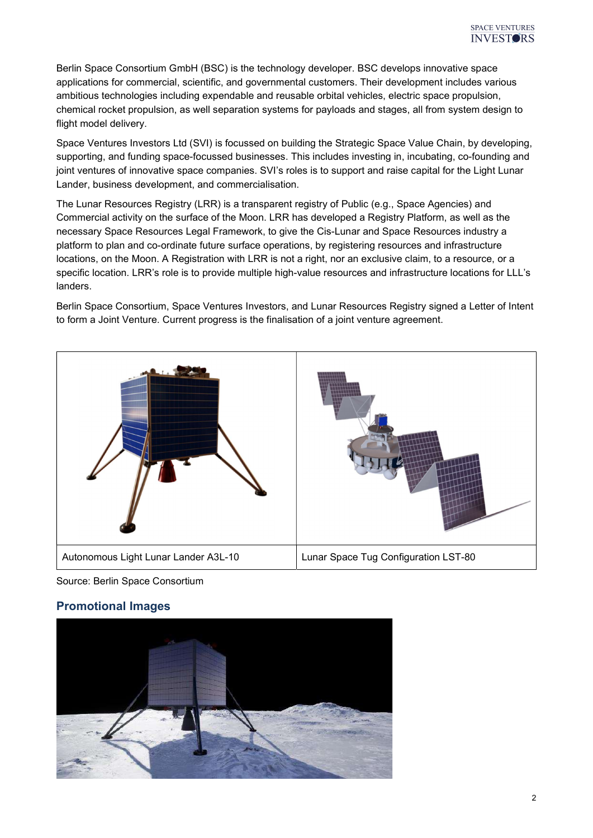Berlin Space Consortium GmbH (BSC) is the technology developer. BSC develops innovative space applications for commercial, scientific, and governmental customers. Their development includes various ambitious technologies including expendable and reusable orbital vehicles, electric space propulsion, chemical rocket propulsion, as well separation systems for payloads and stages, all from system design to flight model delivery.

Space Ventures Investors Ltd (SVI) is focussed on building the Strategic Space Value Chain, by developing, supporting, and funding space-focussed businesses. This includes investing in, incubating, co-founding and joint ventures of innovative space companies. SVI's roles is to support and raise capital for the Light Lunar Lander, business development, and commercialisation.

The Lunar Resources Registry (LRR) is a transparent registry of Public (e.g., Space Agencies) and Commercial activity on the surface of the Moon. LRR has developed a Registry Platform, as well as the necessary Space Resources Legal Framework, to give the Cis-Lunar and Space Resources industry a platform to plan and co-ordinate future surface operations, by registering resources and infrastructure locations, on the Moon. A Registration with LRR is not a right, nor an exclusive claim, to a resource, or a specific location. LRR's role is to provide multiple high-value resources and infrastructure locations for LLL's landers.

Berlin Space Consortium, Space Ventures Investors, and Lunar Resources Registry signed a Letter of Intent to form a Joint Venture. Current progress is the finalisation of a joint venture agreement.



Source: Berlin Space Consortium

#### Promotional Images